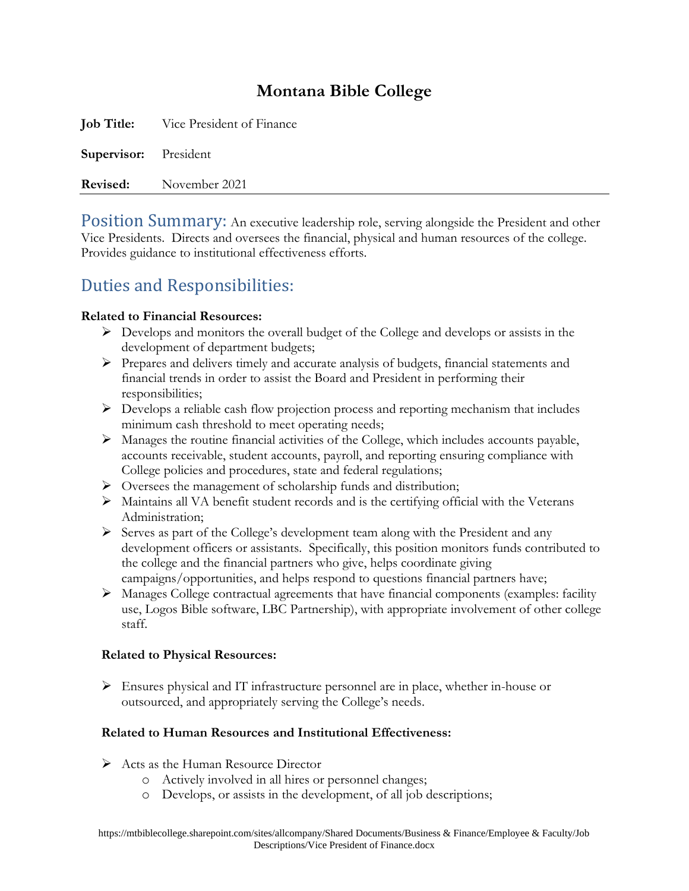## **Montana Bible College**

**Job Title:** Vice President of Finance **Supervisor:** President **Revised:** November 2021

Position Summary: An executive leadership role, serving alongside the President and other Vice Presidents. Directs and oversees the financial, physical and human resources of the college. Provides guidance to institutional effectiveness efforts.

# Duties and Responsibilities:

#### **Related to Financial Resources:**

- $\triangleright$  Develops and monitors the overall budget of the College and develops or assists in the development of department budgets;
- $\triangleright$  Prepares and delivers timely and accurate analysis of budgets, financial statements and financial trends in order to assist the Board and President in performing their responsibilities;
- ➢ Develops a reliable cash flow projection process and reporting mechanism that includes minimum cash threshold to meet operating needs;
- ➢ Manages the routine financial activities of the College, which includes accounts payable, accounts receivable, student accounts, payroll, and reporting ensuring compliance with College policies and procedures, state and federal regulations;
- ➢ Oversees the management of scholarship funds and distribution;
- ➢ Maintains all VA benefit student records and is the certifying official with the Veterans Administration;
- ➢ Serves as part of the College's development team along with the President and any development officers or assistants. Specifically, this position monitors funds contributed to the college and the financial partners who give, helps coordinate giving campaigns/opportunities, and helps respond to questions financial partners have;
- ➢ Manages College contractual agreements that have financial components (examples: facility use, Logos Bible software, LBC Partnership), with appropriate involvement of other college staff.

#### **Related to Physical Resources:**

➢ Ensures physical and IT infrastructure personnel are in place, whether in-house or outsourced, and appropriately serving the College's needs.

### **Related to Human Resources and Institutional Effectiveness:**

- ➢ Acts as the Human Resource Director
	- o Actively involved in all hires or personnel changes;
	- o Develops, or assists in the development, of all job descriptions;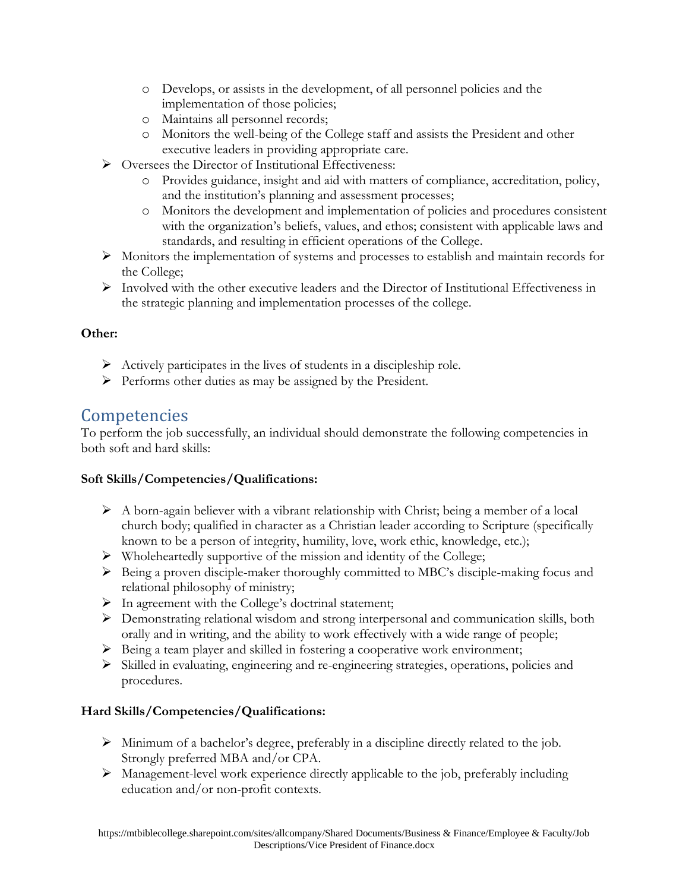- o Develops, or assists in the development, of all personnel policies and the implementation of those policies;
- o Maintains all personnel records;
- o Monitors the well-being of the College staff and assists the President and other executive leaders in providing appropriate care.
- ➢ Oversees the Director of Institutional Effectiveness:
	- o Provides guidance, insight and aid with matters of compliance, accreditation, policy, and the institution's planning and assessment processes;
	- o Monitors the development and implementation of policies and procedures consistent with the organization's beliefs, values, and ethos; consistent with applicable laws and standards, and resulting in efficient operations of the College.
- ➢ Monitors the implementation of systems and processes to establish and maintain records for the College;
- $\triangleright$  Involved with the other executive leaders and the Director of Institutional Effectiveness in the strategic planning and implementation processes of the college.

#### **Other:**

- ➢ Actively participates in the lives of students in a discipleship role.
- ➢ Performs other duties as may be assigned by the President.

### Competencies

To perform the job successfully, an individual should demonstrate the following competencies in both soft and hard skills:

#### **Soft Skills/Competencies/Qualifications:**

- $\triangleright$  A born-again believer with a vibrant relationship with Christ; being a member of a local church body; qualified in character as a Christian leader according to Scripture (specifically known to be a person of integrity, humility, love, work ethic, knowledge, etc.);
- ➢ Wholeheartedly supportive of the mission and identity of the College;
- ➢ Being a proven disciple-maker thoroughly committed to MBC's disciple-making focus and relational philosophy of ministry;
- $\triangleright$  In agreement with the College's doctrinal statement;
- ➢ Demonstrating relational wisdom and strong interpersonal and communication skills, both orally and in writing, and the ability to work effectively with a wide range of people;
- ➢ Being a team player and skilled in fostering a cooperative work environment;
- ➢ Skilled in evaluating, engineering and re-engineering strategies, operations, policies and procedures.

### **Hard Skills/Competencies/Qualifications:**

- ➢ Minimum of a bachelor's degree, preferably in a discipline directly related to the job. Strongly preferred MBA and/or CPA.
- ➢ Management-level work experience directly applicable to the job, preferably including education and/or non-profit contexts.